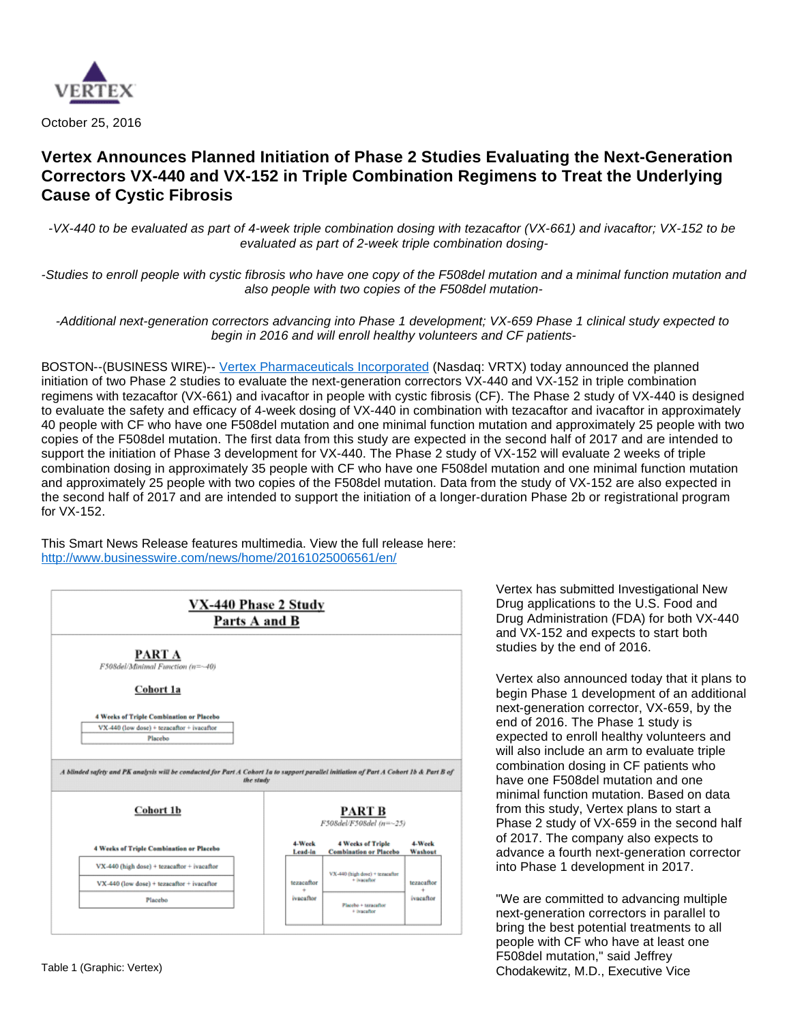

October 25, 2016

# **Vertex Announces Planned Initiation of Phase 2 Studies Evaluating the Next-Generation Correctors VX-440 and VX-152 in Triple Combination Regimens to Treat the Underlying Cause of Cystic Fibrosis**

-VX-440 to be evaluated as part of 4-week triple combination dosing with tezacaftor (VX-661) and ivacaftor; VX-152 to be evaluated as part of 2-week triple combination dosing-

-Studies to enroll people with cystic fibrosis who have one copy of the F508del mutation and a minimal function mutation and also people with two copies of the F508del mutation-

-Additional next-generation correctors advancing into Phase 1 development; VX-659 Phase 1 clinical study expected to begin in 2016 and will enroll healthy volunteers and CF patients-

BOSTON--(BUSINESS WIRE)-- [Vertex Pharmaceuticals Incorporated](http://cts.businesswire.com/ct/CT?id=smartlink&url=http%3A%2F%2Fwww.vrtx.com&esheet=51446355&newsitemid=20161025006561&lan=en-US&anchor=Vertex+Pharmaceuticals+Incorporated&index=1&md5=7a79a79dad467f5b93a936aef38c50ad) (Nasdaq: VRTX) today announced the planned initiation of two Phase 2 studies to evaluate the next-generation correctors VX-440 and VX-152 in triple combination regimens with tezacaftor (VX-661) and ivacaftor in people with cystic fibrosis (CF). The Phase 2 study of VX-440 is designed to evaluate the safety and efficacy of 4-week dosing of VX-440 in combination with tezacaftor and ivacaftor in approximately 40 people with CF who have one F508del mutation and one minimal function mutation and approximately 25 people with two copies of the F508del mutation. The first data from this study are expected in the second half of 2017 and are intended to support the initiation of Phase 3 development for VX-440. The Phase 2 study of VX-152 will evaluate 2 weeks of triple combination dosing in approximately 35 people with CF who have one F508del mutation and one minimal function mutation and approximately 25 people with two copies of the F508del mutation. Data from the study of VX-152 are also expected in the second half of 2017 and are intended to support the initiation of a longer-duration Phase 2b or registrational program for VX-152.

This Smart News Release features multimedia. View the full release here: <http://www.businesswire.com/news/home/20161025006561/en/>



Vertex has submitted Investigational New Drug applications to the U.S. Food and Drug Administration (FDA) for both VX-440 and VX-152 and expects to start both studies by the end of 2016.

Vertex also announced today that it plans to begin Phase 1 development of an additional next-generation corrector, VX-659, by the end of 2016. The Phase 1 study is expected to enroll healthy volunteers and will also include an arm to evaluate triple combination dosing in CF patients who have one F508del mutation and one minimal function mutation. Based on data from this study, Vertex plans to start a Phase 2 study of VX-659 in the second half of 2017. The company also expects to advance a fourth next-generation corrector into Phase 1 development in 2017.

"We are committed to advancing multiple next-generation correctors in parallel to bring the best potential treatments to all people with CF who have at least one F508del mutation," said Jeffrey Table 1 (Graphic: Vertex) **Chodakewitz, M.D., Executive Vice**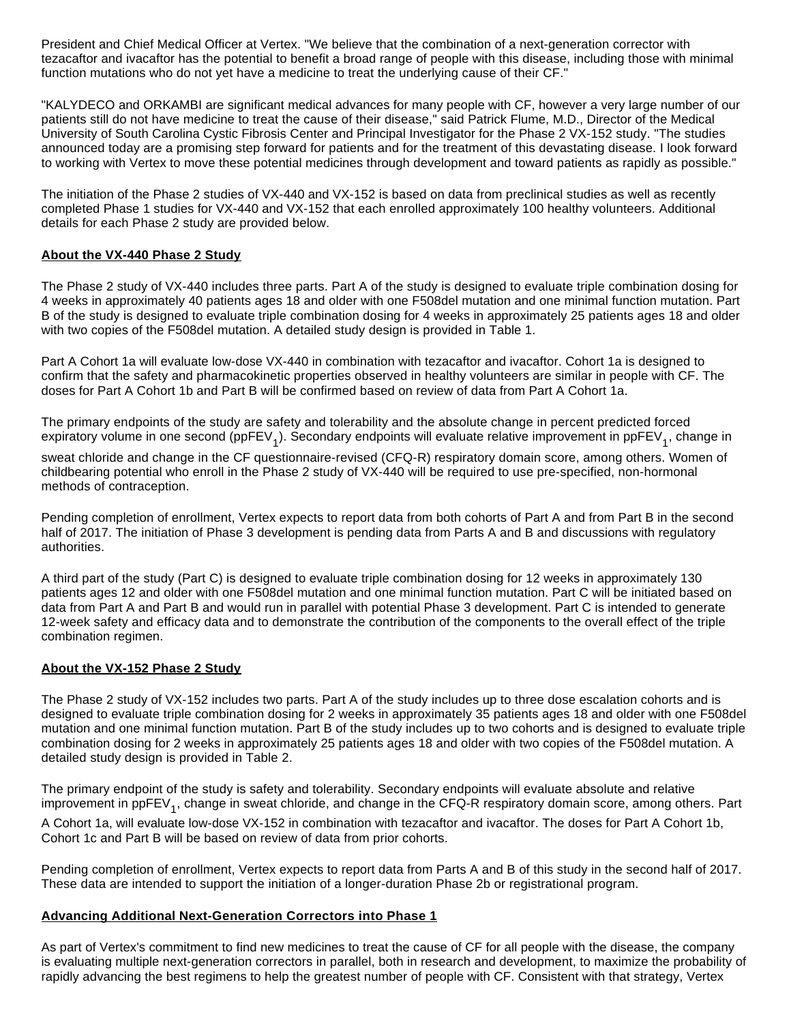President and Chief Medical Officer at Vertex. "We believe that the combination of a next-generation corrector with tezacaftor and ivacaftor has the potential to benefit a broad range of people with this disease, including those with minimal function mutations who do not yet have a medicine to treat the underlying cause of their CF."

"KALYDECO and ORKAMBI are significant medical advances for many people with CF, however a very large number of our patients still do not have medicine to treat the cause of their disease," said Patrick Flume, M.D., Director of the Medical University of South Carolina Cystic Fibrosis Center and Principal Investigator for the Phase 2 VX-152 study. "The studies announced today are a promising step forward for patients and for the treatment of this devastating disease. I look forward to working with Vertex to move these potential medicines through development and toward patients as rapidly as possible."

The initiation of the Phase 2 studies of VX-440 and VX-152 is based on data from preclinical studies as well as recently completed Phase 1 studies for VX-440 and VX-152 that each enrolled approximately 100 healthy volunteers. Additional details for each Phase 2 study are provided below.

## **About the VX-440 Phase 2 Study**

The Phase 2 study of VX-440 includes three parts. Part A of the study is designed to evaluate triple combination dosing for 4 weeks in approximately 40 patients ages 18 and older with one F508del mutation and one minimal function mutation. Part B of the study is designed to evaluate triple combination dosing for 4 weeks in approximately 25 patients ages 18 and older with two copies of the F508del mutation. A detailed study design is provided in Table 1.

Part A Cohort 1a will evaluate low-dose VX-440 in combination with tezacaftor and ivacaftor. Cohort 1a is designed to confirm that the safety and pharmacokinetic properties observed in healthy volunteers are similar in people with CF. The doses for Part A Cohort 1b and Part B will be confirmed based on review of data from Part A Cohort 1a.

The primary endpoints of the study are safety and tolerability and the absolute change in percent predicted forced expiratory volume in one second (ppFEV<sub>1</sub>). Secondary endpoints will evaluate relative improvement in ppFEV<sub>1</sub>, change in

sweat chloride and change in the CF questionnaire-revised (CFQ-R) respiratory domain score, among others. Women of childbearing potential who enroll in the Phase 2 study of VX-440 will be required to use pre-specified, non-hormonal methods of contraception.

Pending completion of enrollment, Vertex expects to report data from both cohorts of Part A and from Part B in the second half of 2017. The initiation of Phase 3 development is pending data from Parts A and B and discussions with regulatory authorities.

A third part of the study (Part C) is designed to evaluate triple combination dosing for 12 weeks in approximately 130 patients ages 12 and older with one F508del mutation and one minimal function mutation. Part C will be initiated based on data from Part A and Part B and would run in parallel with potential Phase 3 development. Part C is intended to generate 12-week safety and efficacy data and to demonstrate the contribution of the components to the overall effect of the triple combination regimen.

## **About the VX-152 Phase 2 Study**

The Phase 2 study of VX-152 includes two parts. Part A of the study includes up to three dose escalation cohorts and is designed to evaluate triple combination dosing for 2 weeks in approximately 35 patients ages 18 and older with one F508del mutation and one minimal function mutation. Part B of the study includes up to two cohorts and is designed to evaluate triple combination dosing for 2 weeks in approximately 25 patients ages 18 and older with two copies of the F508del mutation. A detailed study design is provided in Table 2.

The primary endpoint of the study is safety and tolerability. Secondary endpoints will evaluate absolute and relative improvement in ppFEV<sub>1</sub>, change in sweat chloride, and change in the CFQ-R respiratory domain score, among others. Part

A Cohort 1a, will evaluate low-dose VX-152 in combination with tezacaftor and ivacaftor. The doses for Part A Cohort 1b, Cohort 1c and Part B will be based on review of data from prior cohorts.

Pending completion of enrollment, Vertex expects to report data from Parts A and B of this study in the second half of 2017. These data are intended to support the initiation of a longer-duration Phase 2b or registrational program.

## **Advancing Additional Next-Generation Correctors into Phase 1**

As part of Vertex's commitment to find new medicines to treat the cause of CF for all people with the disease, the company is evaluating multiple next-generation correctors in parallel, both in research and development, to maximize the probability of rapidly advancing the best regimens to help the greatest number of people with CF. Consistent with that strategy, Vertex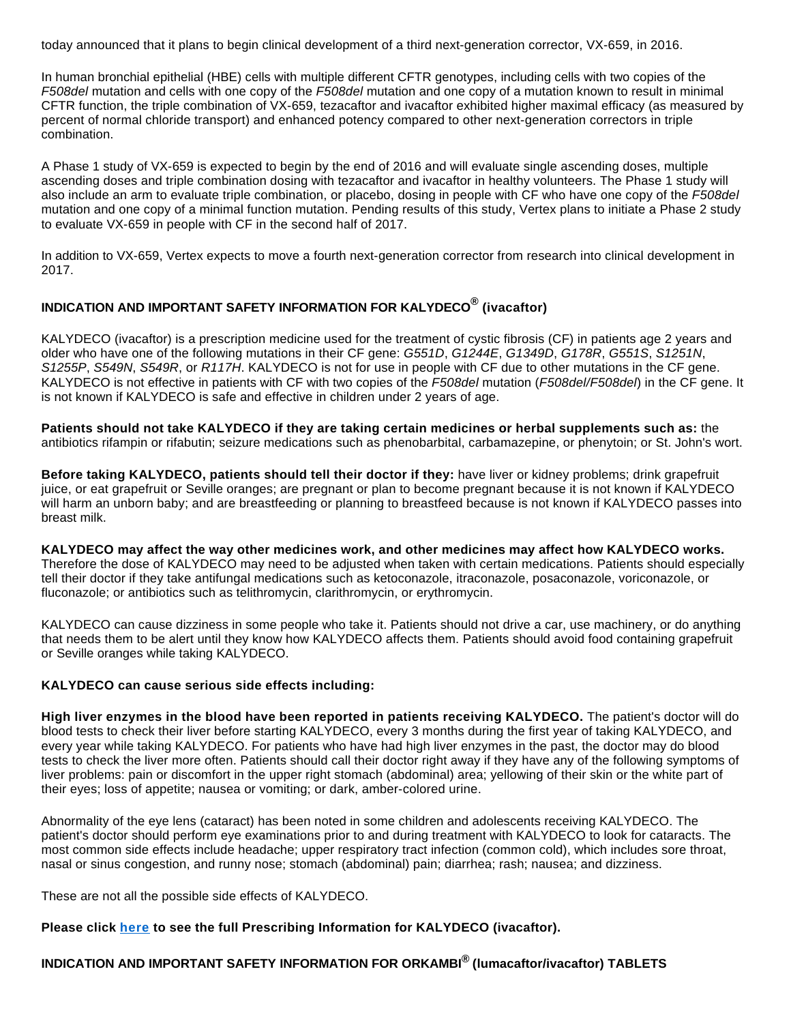today announced that it plans to begin clinical development of a third next-generation corrector, VX-659, in 2016.

In human bronchial epithelial (HBE) cells with multiple different CFTR genotypes, including cells with two copies of the F508del mutation and cells with one copy of the F508del mutation and one copy of a mutation known to result in minimal CFTR function, the triple combination of VX-659, tezacaftor and ivacaftor exhibited higher maximal efficacy (as measured by percent of normal chloride transport) and enhanced potency compared to other next-generation correctors in triple combination.

A Phase 1 study of VX-659 is expected to begin by the end of 2016 and will evaluate single ascending doses, multiple ascending doses and triple combination dosing with tezacaftor and ivacaftor in healthy volunteers. The Phase 1 study will also include an arm to evaluate triple combination, or placebo, dosing in people with CF who have one copy of the F508del mutation and one copy of a minimal function mutation. Pending results of this study, Vertex plans to initiate a Phase 2 study to evaluate VX-659 in people with CF in the second half of 2017.

In addition to VX-659, Vertex expects to move a fourth next-generation corrector from research into clinical development in 2017.

## **INDICATION AND IMPORTANT SAFETY INFORMATION FOR KALYDECO® (ivacaftor)**

KALYDECO (ivacaftor) is a prescription medicine used for the treatment of cystic fibrosis (CF) in patients age 2 years and older who have one of the following mutations in their CF gene: G551D, G1244E, G1349D, G178R, G551S, S1251N, S1255P, S549N, S549R, or R117H. KALYDECO is not for use in people with CF due to other mutations in the CF gene. KALYDECO is not effective in patients with CF with two copies of the F508del mutation (F508del/F508del) in the CF gene. It is not known if KALYDECO is safe and effective in children under 2 years of age.

**Patients should not take KALYDECO if they are taking certain medicines or herbal supplements such as:** the antibiotics rifampin or rifabutin; seizure medications such as phenobarbital, carbamazepine, or phenytoin; or St. John's wort.

**Before taking KALYDECO, patients should tell their doctor if they:** have liver or kidney problems; drink grapefruit juice, or eat grapefruit or Seville oranges; are pregnant or plan to become pregnant because it is not known if KALYDECO will harm an unborn baby; and are breastfeeding or planning to breastfeed because is not known if KALYDECO passes into breast milk.

**KALYDECO may affect the way other medicines work, and other medicines may affect how KALYDECO works.** Therefore the dose of KALYDECO may need to be adjusted when taken with certain medications. Patients should especially tell their doctor if they take antifungal medications such as ketoconazole, itraconazole, posaconazole, voriconazole, or fluconazole; or antibiotics such as telithromycin, clarithromycin, or erythromycin.

KALYDECO can cause dizziness in some people who take it. Patients should not drive a car, use machinery, or do anything that needs them to be alert until they know how KALYDECO affects them. Patients should avoid food containing grapefruit or Seville oranges while taking KALYDECO.

## **KALYDECO can cause serious side effects including:**

**High liver enzymes in the blood have been reported in patients receiving KALYDECO.** The patient's doctor will do blood tests to check their liver before starting KALYDECO, every 3 months during the first year of taking KALYDECO, and every year while taking KALYDECO. For patients who have had high liver enzymes in the past, the doctor may do blood tests to check the liver more often. Patients should call their doctor right away if they have any of the following symptoms of liver problems: pain or discomfort in the upper right stomach (abdominal) area; yellowing of their skin or the white part of their eyes; loss of appetite; nausea or vomiting; or dark, amber-colored urine.

Abnormality of the eye lens (cataract) has been noted in some children and adolescents receiving KALYDECO. The patient's doctor should perform eye examinations prior to and during treatment with KALYDECO to look for cataracts. The most common side effects include headache; upper respiratory tract infection (common cold), which includes sore throat, nasal or sinus congestion, and runny nose; stomach (abdominal) pain; diarrhea; rash; nausea; and dizziness.

These are not all the possible side effects of KALYDECO.

## **Please click [here](http://cts.businesswire.com/ct/CT?id=smartlink&url=http%3A%2F%2Fpi.vrtx.com%2Ffiles%2Fuspi_ivacaftor.pdf&esheet=51446355&newsitemid=20161025006561&lan=en-US&anchor=here&index=2&md5=b7b9c9037e10907e86b132ab07cc53d2) to see the full Prescribing Information for KALYDECO (ivacaftor).**

## **INDICATION AND IMPORTANT SAFETY INFORMATION FOR ORKAMBI® (lumacaftor/ivacaftor) TABLETS**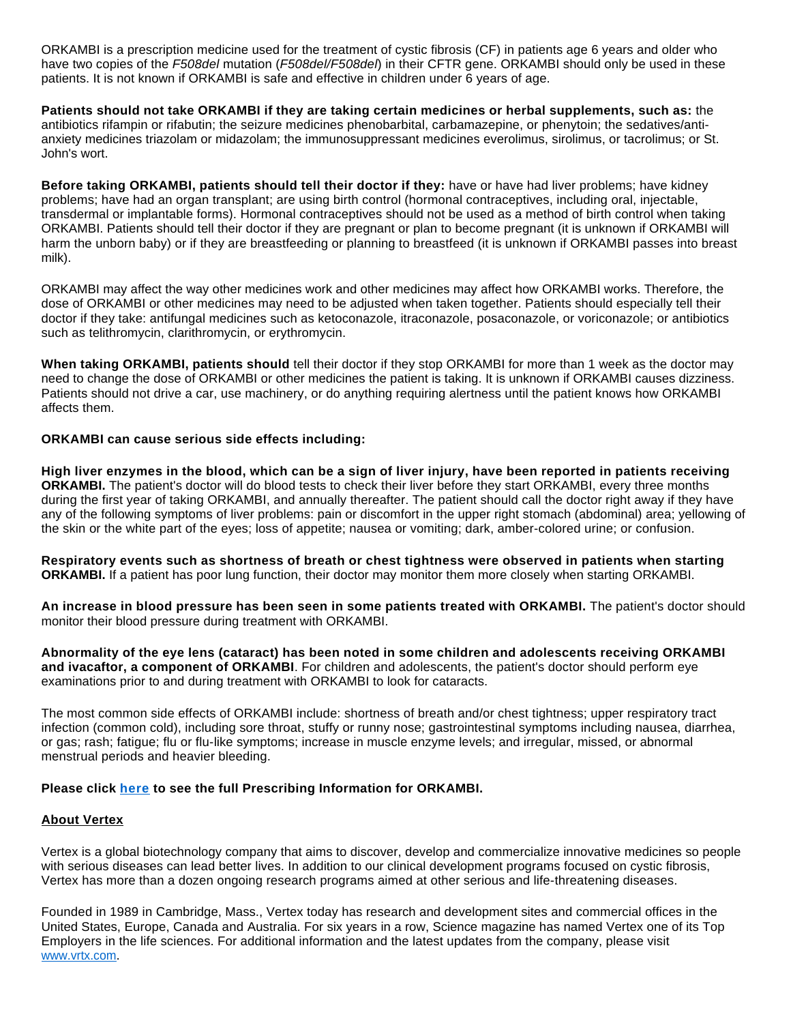ORKAMBI is a prescription medicine used for the treatment of cystic fibrosis (CF) in patients age 6 years and older who have two copies of the F508del mutation (F508del/F508del) in their CFTR gene. ORKAMBI should only be used in these patients. It is not known if ORKAMBI is safe and effective in children under 6 years of age.

**Patients should not take ORKAMBI if they are taking certain medicines or herbal supplements, such as:** the antibiotics rifampin or rifabutin; the seizure medicines phenobarbital, carbamazepine, or phenytoin; the sedatives/antianxiety medicines triazolam or midazolam; the immunosuppressant medicines everolimus, sirolimus, or tacrolimus; or St. John's wort.

**Before taking ORKAMBI, patients should tell their doctor if they:** have or have had liver problems; have kidney problems; have had an organ transplant; are using birth control (hormonal contraceptives, including oral, injectable, transdermal or implantable forms). Hormonal contraceptives should not be used as a method of birth control when taking ORKAMBI. Patients should tell their doctor if they are pregnant or plan to become pregnant (it is unknown if ORKAMBI will harm the unborn baby) or if they are breastfeeding or planning to breastfeed (it is unknown if ORKAMBI passes into breast milk).

ORKAMBI may affect the way other medicines work and other medicines may affect how ORKAMBI works. Therefore, the dose of ORKAMBI or other medicines may need to be adjusted when taken together. Patients should especially tell their doctor if they take: antifungal medicines such as ketoconazole, itraconazole, posaconazole, or voriconazole; or antibiotics such as telithromycin, clarithromycin, or erythromycin.

**When taking ORKAMBI, patients should** tell their doctor if they stop ORKAMBI for more than 1 week as the doctor may need to change the dose of ORKAMBI or other medicines the patient is taking. It is unknown if ORKAMBI causes dizziness. Patients should not drive a car, use machinery, or do anything requiring alertness until the patient knows how ORKAMBI affects them.

#### **ORKAMBI can cause serious side effects including:**

**High liver enzymes in the blood, which can be a sign of liver injury, have been reported in patients receiving ORKAMBI.** The patient's doctor will do blood tests to check their liver before they start ORKAMBI, every three months during the first year of taking ORKAMBI, and annually thereafter. The patient should call the doctor right away if they have any of the following symptoms of liver problems: pain or discomfort in the upper right stomach (abdominal) area; yellowing of the skin or the white part of the eyes; loss of appetite; nausea or vomiting; dark, amber-colored urine; or confusion.

**Respiratory events such as shortness of breath or chest tightness were observed in patients when starting ORKAMBI.** If a patient has poor lung function, their doctor may monitor them more closely when starting ORKAMBI.

**An increase in blood pressure has been seen in some patients treated with ORKAMBI.** The patient's doctor should monitor their blood pressure during treatment with ORKAMBI.

**Abnormality of the eye lens (cataract) has been noted in some children and adolescents receiving ORKAMBI and ivacaftor, a component of ORKAMBI**. For children and adolescents, the patient's doctor should perform eye examinations prior to and during treatment with ORKAMBI to look for cataracts.

The most common side effects of ORKAMBI include: shortness of breath and/or chest tightness; upper respiratory tract infection (common cold), including sore throat, stuffy or runny nose; gastrointestinal symptoms including nausea, diarrhea, or gas; rash; fatigue; flu or flu-like symptoms; increase in muscle enzyme levels; and irregular, missed, or abnormal menstrual periods and heavier bleeding.

## **Please click [here](http://cts.businesswire.com/ct/CT?id=smartlink&url=http%3A%2F%2Fpi.vrtx.com%2Ffiles%2Fuspi_lumacaftor_ivacaftor.pdf&esheet=51446355&newsitemid=20161025006561&lan=en-US&anchor=here&index=3&md5=71d879fe077db001168bbfe665f16f51) to see the full Prescribing Information for ORKAMBI.**

## **About Vertex**

Vertex is a global biotechnology company that aims to discover, develop and commercialize innovative medicines so people with serious diseases can lead better lives. In addition to our clinical development programs focused on cystic fibrosis, Vertex has more than a dozen ongoing research programs aimed at other serious and life-threatening diseases.

Founded in 1989 in Cambridge, Mass., Vertex today has research and development sites and commercial offices in the United States, Europe, Canada and Australia. For six years in a row, Science magazine has named Vertex one of its Top Employers in the life sciences. For additional information and the latest updates from the company, please visit [www.vrtx.com](http://cts.businesswire.com/ct/CT?id=smartlink&url=http%3A%2F%2Fwww.vrtx.com&esheet=51446355&newsitemid=20161025006561&lan=en-US&anchor=www.vrtx.com&index=4&md5=3e782eafe4d7cf6ac943f6269410075c).